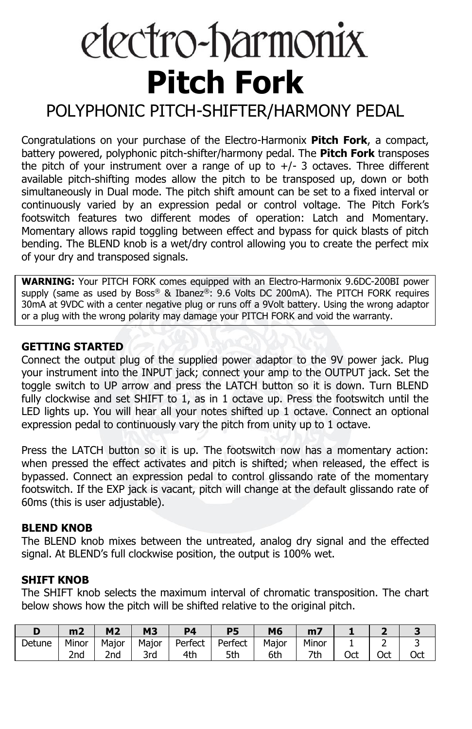# electro-harmonix **Pitch Fork**

# POLYPHONIC PITCH-SHIFTER/HARMONY PEDAL

Congratulations on your purchase of the Electro-Harmonix **Pitch Fork**, a compact, battery powered, polyphonic pitch-shifter/harmony pedal. The **Pitch Fork** transposes the pitch of your instrument over a range of up to  $+/-$  3 octaves. Three different available pitch-shifting modes allow the pitch to be transposed up, down or both simultaneously in Dual mode. The pitch shift amount can be set to a fixed interval or continuously varied by an expression pedal or control voltage. The Pitch Fork's footswitch features two different modes of operation: Latch and Momentary. Momentary allows rapid toggling between effect and bypass for quick blasts of pitch bending. The BLEND knob is a wet/dry control allowing you to create the perfect mix of your dry and transposed signals.

**WARNING:** Your PITCH FORK comes equipped with an Electro-Harmonix 9.6DC-200BI power supply (same as used by Boss® & Ibanez®: 9.6 Volts DC 200mA). The PITCH FORK requires 30mA at 9VDC with a center negative plug or runs off a 9Volt battery. Using the wrong adaptor or a plug with the wrong polarity may damage your PITCH FORK and void the warranty.

#### **GETTING STARTED**

Connect the output plug of the supplied power adaptor to the 9V power jack. Plug your instrument into the INPUT jack; connect your amp to the OUTPUT jack. Set the toggle switch to UP arrow and press the LATCH button so it is down. Turn BLEND fully clockwise and set SHIFT to 1, as in 1 octave up. Press the footswitch until the LED lights up. You will hear all your notes shifted up 1 octave. Connect an optional expression pedal to continuously vary the pitch from unity up to 1 octave.

Press the LATCH button so it is up. The footswitch now has a momentary action: when pressed the effect activates and pitch is shifted; when released, the effect is bypassed. Connect an expression pedal to control glissando rate of the momentary footswitch. If the EXP jack is vacant, pitch will change at the default glissando rate of 60ms (this is user adjustable).

#### **BLEND KNOB**

The BLEND knob mixes between the untreated, analog dry signal and the effected signal. At BLEND's full clockwise position, the output is 100% wet.

#### **SHIFT KNOB**

The SHIFT knob selects the maximum interval of chromatic transposition. The chart below shows how the pitch will be shifted relative to the original pitch.

|        | m <sub>2</sub>  | M <sub>2</sub> | <b>M3</b> | D4      | <b>P5</b> | M6    | m7    |     |     |     |
|--------|-----------------|----------------|-----------|---------|-----------|-------|-------|-----|-----|-----|
| Detune | Minor           | Maior          | Maior     | Perfect | Perfect   | Maior | Minor |     | -   |     |
|        | 2 <sub>nd</sub> | 2nd            | 3rd       | 4th     | 5th       | 6th   | 7th   | Oct | Oct | Oct |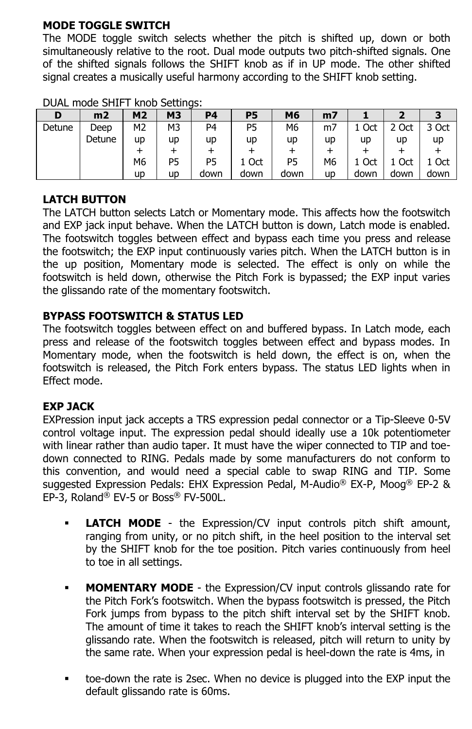## **MODE TOGGLE SWITCH**

The MODE toggle switch selects whether the pitch is shifted up, down or both simultaneously relative to the root. Dual mode outputs two pitch-shifted signals. One of the shifted signals follows the SHIFT knob as if in UP mode. The other shifted signal creates a musically useful harmony according to the SHIFT knob setting.

| D      | m2     | M <sub>2</sub> | <b>M3</b> | P4             | P5   | M6   | m7             |       |       |       |
|--------|--------|----------------|-----------|----------------|------|------|----------------|-------|-------|-------|
| Detune | Deep   | M <sub>2</sub> | M3        | P <sub>4</sub> | P5   | M6   | m7             | 1 Oct | 2 Oct | 3 Oct |
|        | Detune | up             | up        | up             | up   | up   | up             | up    | up    | up    |
|        |        |                |           |                |      |      |                |       |       |       |
|        |        | M <sub>6</sub> | P5        | P5             | Oct  | P5   | M <sub>6</sub> | 1 Oct | Oct   | Oct   |
|        |        | up             | up        | down           | down | down | up             | down  | down  | down  |

DUAL mode SHIFT knob Settings:

# **LATCH BUTTON**

The LATCH button selects Latch or Momentary mode. This affects how the footswitch and EXP jack input behave. When the LATCH button is down, Latch mode is enabled. The footswitch toggles between effect and bypass each time you press and release the footswitch; the EXP input continuously varies pitch. When the LATCH button is in the up position, Momentary mode is selected. The effect is only on while the footswitch is held down, otherwise the Pitch Fork is bypassed; the EXP input varies the glissando rate of the momentary footswitch.

# **BYPASS FOOTSWITCH & STATUS LED**

The footswitch toggles between effect on and buffered bypass. In Latch mode, each press and release of the footswitch toggles between effect and bypass modes. In Momentary mode, when the footswitch is held down, the effect is on, when the footswitch is released, the Pitch Fork enters bypass. The status LED lights when in Effect mode.

### **EXP JACK**

EXPression input jack accepts a TRS expression pedal connector or a Tip-Sleeve 0-5V control voltage input. The expression pedal should ideally use a 10k potentiometer with linear rather than audio taper. It must have the wiper connected to TIP and toedown connected to RING. Pedals made by some manufacturers do not conform to this convention, and would need a special cable to swap RING and TIP. Some suggested Expression Pedals: EHX Expression Pedal, M-Audio® EX-P, Moog® EP-2 & EP-3, Roland® EV-5 or Boss® FV-500L.

- **LATCH MODE** the Expression/CV input controls pitch shift amount, ranging from unity, or no pitch shift, in the heel position to the interval set by the SHIFT knob for the toe position. Pitch varies continuously from heel to toe in all settings.
- **MOMENTARY MODE** the Expression/CV input controls glissando rate for the Pitch Fork's footswitch. When the bypass footswitch is pressed, the Pitch Fork jumps from bypass to the pitch shift interval set by the SHIFT knob. The amount of time it takes to reach the SHIFT knob's interval setting is the glissando rate. When the footswitch is released, pitch will return to unity by the same rate. When your expression pedal is heel-down the rate is 4ms, in
- toe-down the rate is 2sec. When no device is plugged into the EXP input the default glissando rate is 60ms.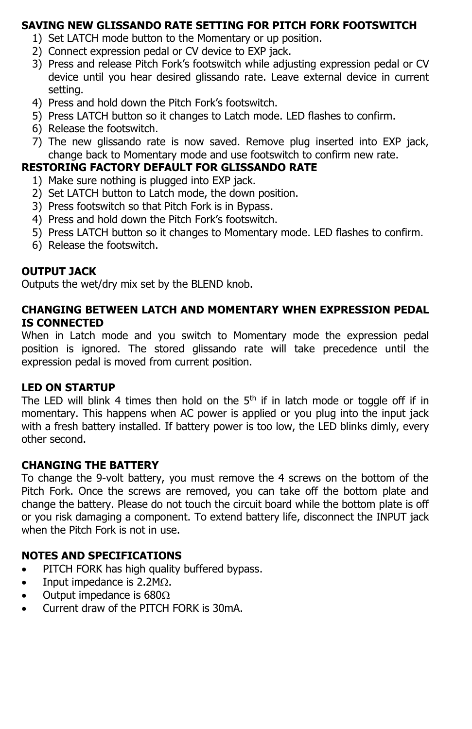#### **SAVING NEW GLISSANDO RATE SETTING FOR PITCH FORK FOOTSWITCH**

- 1) Set LATCH mode button to the Momentary or up position.
- 2) Connect expression pedal or CV device to EXP jack.
- 3) Press and release Pitch Fork's footswitch while adjusting expression pedal or CV device until you hear desired glissando rate. Leave external device in current setting.
- 4) Press and hold down the Pitch Fork's footswitch.
- 5) Press LATCH button so it changes to Latch mode. LED flashes to confirm.
- 6) Release the footswitch.
- 7) The new glissando rate is now saved. Remove plug inserted into EXP jack, change back to Momentary mode and use footswitch to confirm new rate.

#### **RESTORING FACTORY DEFAULT FOR GLISSANDO RATE**

- 1) Make sure nothing is plugged into EXP jack.
- 2) Set LATCH button to Latch mode, the down position.
- 3) Press footswitch so that Pitch Fork is in Bypass.
- 4) Press and hold down the Pitch Fork's footswitch.
- 5) Press LATCH button so it changes to Momentary mode. LED flashes to confirm.
- 6) Release the footswitch.

### **OUTPUT JACK**

Outputs the wet/dry mix set by the BLEND knob.

#### **CHANGING BETWEEN LATCH AND MOMENTARY WHEN EXPRESSION PEDAL IS CONNECTED**

When in Latch mode and you switch to Momentary mode the expression pedal position is ignored. The stored glissando rate will take precedence until the expression pedal is moved from current position.

#### **LED ON STARTUP**

The LED will blink 4 times then hold on the  $5<sup>th</sup>$  if in latch mode or toggle off if in momentary. This happens when AC power is applied or you plug into the input jack with a fresh battery installed. If battery power is too low, the LED blinks dimly, every other second.

### **CHANGING THE BATTERY**

To change the 9-volt battery, you must remove the 4 screws on the bottom of the Pitch Fork. Once the screws are removed, you can take off the bottom plate and change the battery. Please do not touch the circuit board while the bottom plate is off or you risk damaging a component. To extend battery life, disconnect the INPUT jack when the Pitch Fork is not in use.

### **NOTES AND SPECIFICATIONS**

- PITCH FORK has high quality buffered bypass.
- Input impedance is  $2.2M\Omega$ .
- Output impedance is  $680\Omega$
- Current draw of the PITCH FORK is 30mA.